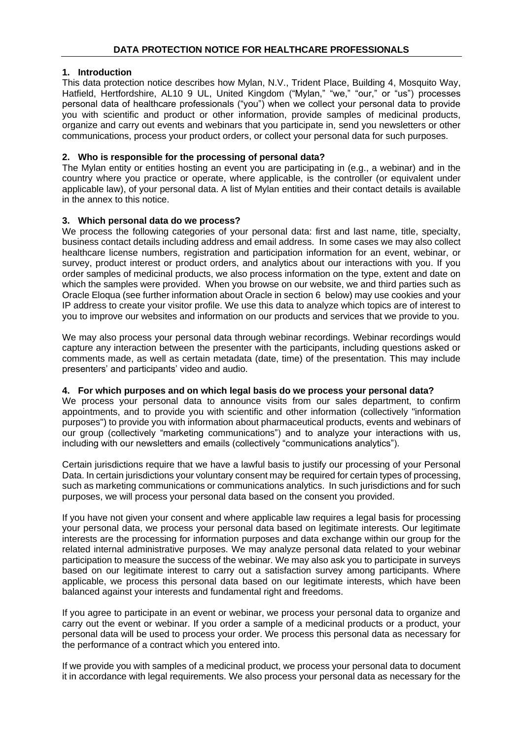# **1. Introduction**

This data protection notice describes how Mylan, N.V., Trident Place, Building 4, Mosquito Way, Hatfield, Hertfordshire, AL10 9 UL, United Kingdom ("Mylan," "we," "our," or "us") processes personal data of healthcare professionals ("you") when we collect your personal data to provide you with scientific and product or other information, provide samples of medicinal products, organize and carry out events and webinars that you participate in, send you newsletters or other communications, process your product orders, or collect your personal data for such purposes.

# **2. Who is responsible for the processing of personal data?**

The Mylan entity or entities hosting an event you are participating in (e.g., a webinar) and in the country where you practice or operate, where applicable, is the controller (or equivalent under applicable law), of your personal data. A list of Mylan entities and their contact details is available in the annex to this notice.

## **3. Which personal data do we process?**

We process the following categories of your personal data: first and last name, title, specialty, business contact details including address and email address. In some cases we may also collect healthcare license numbers, registration and participation information for an event, webinar, or survey, product interest or product orders, and analytics about our interactions with you. If you order samples of medicinal products, we also process information on the type, extent and date on which the samples were provided. When you browse on our website, we and third parties such as Oracle Eloqua (see further information about Oracle in section 6 below) may use cookies and your IP address to create your visitor profile. We use this data to analyze which topics are of interest to you to improve our websites and information on our products and services that we provide to you.

We may also process your personal data through webinar recordings. Webinar recordings would capture any interaction between the presenter with the participants, including questions asked or comments made, as well as certain metadata (date, time) of the presentation. This may include presenters' and participants' video and audio.

## **4. For which purposes and on which legal basis do we process your personal data?**

We process your personal data to announce visits from our sales department, to confirm appointments, and to provide you with scientific and other information (collectively "information purposes") to provide you with information about pharmaceutical products, events and webinars of our group (collectively "marketing communications") and to analyze your interactions with us, including with our newsletters and emails (collectively "communications analytics").

Certain jurisdictions require that we have a lawful basis to justify our processing of your Personal Data. In certain jurisdictions your voluntary consent may be required for certain types of processing, such as marketing communications or communications analytics. In such jurisdictions and for such purposes, we will process your personal data based on the consent you provided.

If you have not given your consent and where applicable law requires a legal basis for processing your personal data, we process your personal data based on legitimate interests. Our legitimate interests are the processing for information purposes and data exchange within our group for the related internal administrative purposes. We may analyze personal data related to your webinar participation to measure the success of the webinar. We may also ask you to participate in surveys based on our legitimate interest to carry out a satisfaction survey among participants. Where applicable, we process this personal data based on our legitimate interests, which have been balanced against your interests and fundamental right and freedoms.

If you agree to participate in an event or webinar, we process your personal data to organize and carry out the event or webinar. If you order a sample of a medicinal products or a product, your personal data will be used to process your order. We process this personal data as necessary for the performance of a contract which you entered into.

If we provide you with samples of a medicinal product, we process your personal data to document it in accordance with legal requirements. We also process your personal data as necessary for the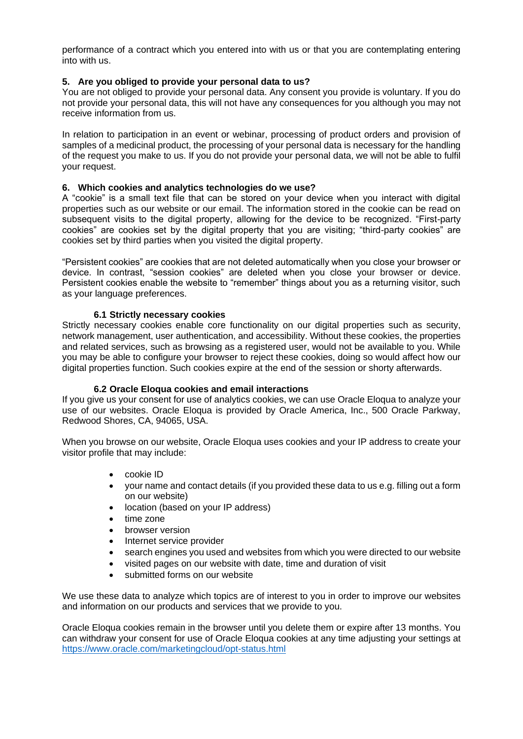performance of a contract which you entered into with us or that you are contemplating entering into with us.

## **5. Are you obliged to provide your personal data to us?**

You are not obliged to provide your personal data. Any consent you provide is voluntary. If you do not provide your personal data, this will not have any consequences for you although you may not receive information from us.

In relation to participation in an event or webinar, processing of product orders and provision of samples of a medicinal product, the processing of your personal data is necessary for the handling of the request you make to us. If you do not provide your personal data, we will not be able to fulfil your request.

## **6. Which cookies and analytics technologies do we use?**

A "cookie" is a small text file that can be stored on your device when you interact with digital properties such as our website or our email. The information stored in the cookie can be read on subsequent visits to the digital property, allowing for the device to be recognized. "First-party cookies" are cookies set by the digital property that you are visiting; "third-party cookies" are cookies set by third parties when you visited the digital property.

"Persistent cookies" are cookies that are not deleted automatically when you close your browser or device. In contrast, "session cookies" are deleted when you close your browser or device. Persistent cookies enable the website to "remember" things about you as a returning visitor, such as your language preferences.

## **6.1 Strictly necessary cookies**

Strictly necessary cookies enable core functionality on our digital properties such as security, network management, user authentication, and accessibility. Without these cookies, the properties and related services, such as browsing as a registered user, would not be available to you. While you may be able to configure your browser to reject these cookies, doing so would affect how our digital properties function. Such cookies expire at the end of the session or shorty afterwards.

## **6.2 Oracle Eloqua cookies and email interactions**

If you give us your consent for use of analytics cookies, we can use Oracle Eloqua to analyze your use of our websites. Oracle Eloqua is provided by Oracle America, Inc., 500 Oracle Parkway, Redwood Shores, CA, 94065, USA.

When you browse on our website, Oracle Eloqua uses cookies and your IP address to create your visitor profile that may include:

- cookie ID
- your name and contact details (if you provided these data to us e.g. filling out a form on our website)
- location (based on your IP address)
- time zone
- browser version
- Internet service provider
- search engines you used and websites from which you were directed to our website
- visited pages on our website with date, time and duration of visit
- submitted forms on our website

We use these data to analyze which topics are of interest to you in order to improve our websites and information on our products and services that we provide to you.

Oracle Eloqua cookies remain in the browser until you delete them or expire after 13 months. You can withdraw your consent for use of Oracle Eloqua cookies at any time adjusting your settings at <https://www.oracle.com/marketingcloud/opt-status.html>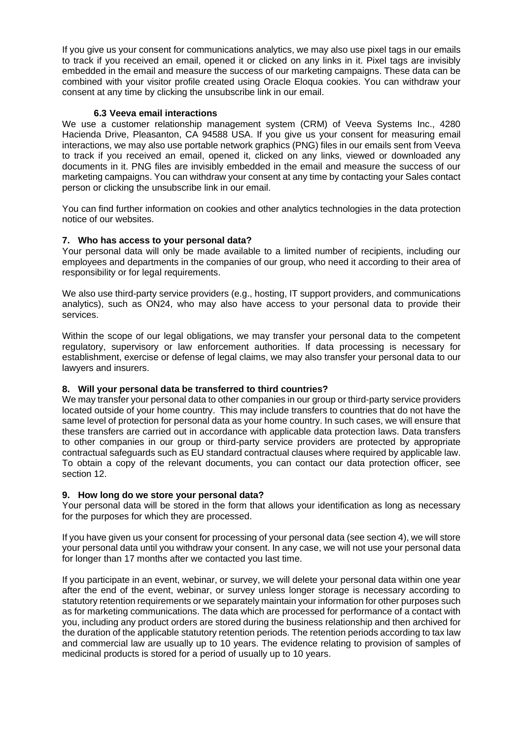If you give us your consent for communications analytics, we may also use pixel tags in our emails to track if you received an email, opened it or clicked on any links in it. Pixel tags are invisibly embedded in the email and measure the success of our marketing campaigns. These data can be combined with your visitor profile created using Oracle Eloqua cookies. You can withdraw your consent at any time by clicking the unsubscribe link in our email.

# **6.3 Veeva email interactions**

We use a customer relationship management system (CRM) of Veeva Systems Inc., 4280 Hacienda Drive, Pleasanton, CA 94588 USA. If you give us your consent for measuring email interactions, we may also use portable network graphics (PNG) files in our emails sent from Veeva to track if you received an email, opened it, clicked on any links, viewed or downloaded any documents in it. PNG files are invisibly embedded in the email and measure the success of our marketing campaigns. You can withdraw your consent at any time by contacting your Sales contact person or clicking the unsubscribe link in our email.

You can find further information on cookies and other analytics technologies in the data protection notice of our websites.

## **7. Who has access to your personal data?**

Your personal data will only be made available to a limited number of recipients, including our employees and departments in the companies of our group, who need it according to their area of responsibility or for legal requirements.

We also use third-party service providers (e.g., hosting, IT support providers, and communications analytics), such as ON24, who may also have access to your personal data to provide their services.

Within the scope of our legal obligations, we may transfer your personal data to the competent regulatory, supervisory or law enforcement authorities. If data processing is necessary for establishment, exercise or defense of legal claims, we may also transfer your personal data to our lawyers and insurers.

## **8. Will your personal data be transferred to third countries?**

We may transfer your personal data to other companies in our group or third-party service providers located outside of your home country. This may include transfers to countries that do not have the same level of protection for personal data as your home country. In such cases, we will ensure that these transfers are carried out in accordance with applicable data protection laws. Data transfers to other companies in our group or third-party service providers are protected by appropriate contractual safeguards such as EU standard contractual clauses where required by applicable law. To obtain a copy of the relevant documents, you can contact our data protection officer, see section 12.

## **9. How long do we store your personal data?**

Your personal data will be stored in the form that allows your identification as long as necessary for the purposes for which they are processed.

If you have given us your consent for processing of your personal data (see section 4), we will store your personal data until you withdraw your consent. In any case, we will not use your personal data for longer than 17 months after we contacted you last time.

If you participate in an event, webinar, or survey, we will delete your personal data within one year after the end of the event, webinar, or survey unless longer storage is necessary according to statutory retention requirements or we separately maintain your information for other purposes such as for marketing communications. The data which are processed for performance of a contact with you, including any product orders are stored during the business relationship and then archived for the duration of the applicable statutory retention periods. The retention periods according to tax law and commercial law are usually up to 10 years. The evidence relating to provision of samples of medicinal products is stored for a period of usually up to 10 years.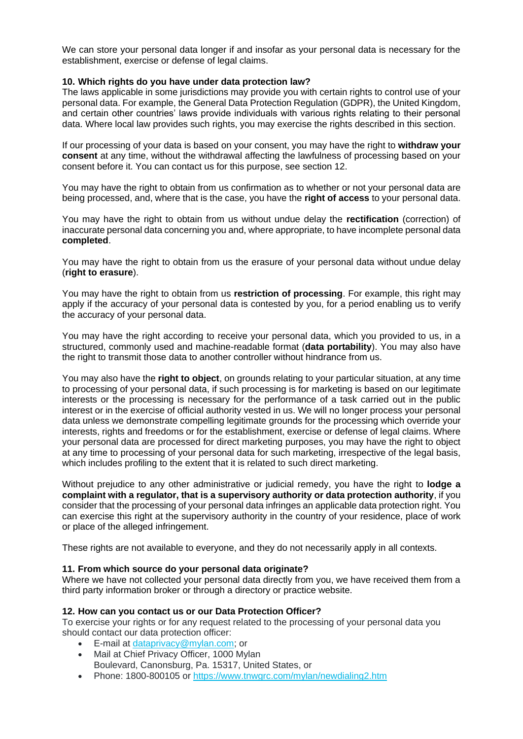We can store your personal data longer if and insofar as your personal data is necessary for the establishment, exercise or defense of legal claims.

#### **10. Which rights do you have under data protection law?**

The laws applicable in some jurisdictions may provide you with certain rights to control use of your personal data. For example, the General Data Protection Regulation (GDPR), the United Kingdom, and certain other countries' laws provide individuals with various rights relating to their personal data. Where local law provides such rights, you may exercise the rights described in this section.

If our processing of your data is based on your consent, you may have the right to **withdraw your consent** at any time, without the withdrawal affecting the lawfulness of processing based on your consent before it. You can contact us for this purpose, see section 12.

You may have the right to obtain from us confirmation as to whether or not your personal data are being processed, and, where that is the case, you have the **right of access** to your personal data.

You may have the right to obtain from us without undue delay the **rectification** (correction) of inaccurate personal data concerning you and, where appropriate, to have incomplete personal data **completed**.

You may have the right to obtain from us the erasure of your personal data without undue delay (**right to erasure**).

You may have the right to obtain from us **restriction of processing**. For example, this right may apply if the accuracy of your personal data is contested by you, for a period enabling us to verify the accuracy of your personal data.

You may have the right according to receive your personal data, which you provided to us, in a structured, commonly used and machine-readable format (**data portability**). You may also have the right to transmit those data to another controller without hindrance from us.

You may also have the **right to object**, on grounds relating to your particular situation, at any time to processing of your personal data, if such processing is for marketing is based on our legitimate interests or the processing is necessary for the performance of a task carried out in the public interest or in the exercise of official authority vested in us. We will no longer process your personal data unless we demonstrate compelling legitimate grounds for the processing which override your interests, rights and freedoms or for the establishment, exercise or defense of legal claims. Where your personal data are processed for direct marketing purposes, you may have the right to object at any time to processing of your personal data for such marketing, irrespective of the legal basis, which includes profiling to the extent that it is related to such direct marketing.

Without prejudice to any other administrative or judicial remedy, you have the right to **lodge a complaint with a regulator, that is a supervisory authority or data protection authority**, if you consider that the processing of your personal data infringes an applicable data protection right. You can exercise this right at the supervisory authority in the country of your residence, place of work or place of the alleged infringement.

These rights are not available to everyone, and they do not necessarily apply in all contexts.

#### **11. From which source do your personal data originate?**

Where we have not collected your personal data directly from you, we have received them from a third party information broker or through a directory or practice website.

#### **12. How can you contact us or our Data Protection Officer?**

To exercise your rights or for any request related to the processing of your personal data you should contact our data protection officer:

- E-mail at [dataprivacy@mylan.com;](mailto:dataprivacy@mylan.com) or
- Mail at Chief Privacy Officer, 1000 Mylan Boulevard, Canonsburg, Pa. 15317, United States, or
- Phone: 1800-800105 or [https://www.tnwgrc.com/mylan/newdialing2.htm](https://www.tnwgrc.com/mylan/newdialing2.htm?elqTrackId=f49c4d6c4d4f47258002c4cd4bfd5fd1&elqaid=661&elqat=2)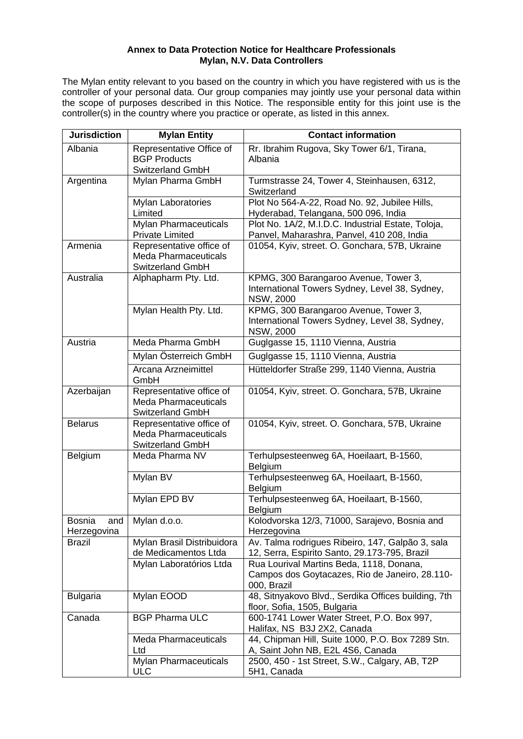## **Annex to Data Protection Notice for Healthcare Professionals Mylan, N.V. Data Controllers**

The Mylan entity relevant to you based on the country in which you have registered with us is the controller of your personal data. Our group companies may jointly use your personal data within the scope of purposes described in this Notice. The responsible entity for this joint use is the controller(s) in the country where you practice or operate, as listed in this annex.

| <b>Jurisdiction</b>                 | <b>Mylan Entity</b>                                                         | <b>Contact information</b>                                                                                  |
|-------------------------------------|-----------------------------------------------------------------------------|-------------------------------------------------------------------------------------------------------------|
| Albania                             | Representative Office of<br><b>BGP Products</b><br>Switzerland GmbH         | Rr. Ibrahim Rugova, Sky Tower 6/1, Tirana,<br>Albania                                                       |
| Argentina                           | Mylan Pharma GmbH                                                           | Turmstrasse 24, Tower 4, Steinhausen, 6312,<br>Switzerland                                                  |
|                                     | Mylan Laboratories<br>Limited                                               | Plot No 564-A-22, Road No. 92, Jubilee Hills,<br>Hyderabad, Telangana, 500 096, India                       |
|                                     | <b>Mylan Pharmaceuticals</b><br><b>Private Limited</b>                      | Plot No. 1A/2, M.I.D.C. Industrial Estate, Toloja,<br>Panvel, Maharashra, Panvel, 410 208, India            |
| Armenia                             | Representative office of<br><b>Meda Pharmaceuticals</b><br>Switzerland GmbH | 01054, Kyiv, street. O. Gonchara, 57B, Ukraine                                                              |
| Australia                           | Alphapharm Pty. Ltd.                                                        | KPMG, 300 Barangaroo Avenue, Tower 3,<br>International Towers Sydney, Level 38, Sydney,<br><b>NSW, 2000</b> |
|                                     | Mylan Health Pty. Ltd.                                                      | KPMG, 300 Barangaroo Avenue, Tower 3,<br>International Towers Sydney, Level 38, Sydney,<br><b>NSW, 2000</b> |
| Austria                             | Meda Pharma GmbH                                                            | Guglgasse 15, 1110 Vienna, Austria                                                                          |
|                                     | Mylan Österreich GmbH                                                       | Guglgasse 15, 1110 Vienna, Austria                                                                          |
|                                     | Arcana Arzneimittel<br>GmbH                                                 | Hütteldorfer Straße 299, 1140 Vienna, Austria                                                               |
| Azerbaijan                          | Representative office of<br><b>Meda Pharmaceuticals</b><br>Switzerland GmbH | 01054, Kyiv, street. O. Gonchara, 57B, Ukraine                                                              |
| <b>Belarus</b>                      | Representative office of<br><b>Meda Pharmaceuticals</b><br>Switzerland GmbH | 01054, Kyiv, street. O. Gonchara, 57B, Ukraine                                                              |
| Belgium                             | Meda Pharma NV                                                              | Terhulpsesteenweg 6A, Hoeilaart, B-1560,<br>Belgium                                                         |
|                                     | Mylan BV                                                                    | Terhulpsesteenweg 6A, Hoeilaart, B-1560,<br>Belgium                                                         |
|                                     | Mylan EPD BV                                                                | Terhulpsesteenweg 6A, Hoeilaart, B-1560,<br><b>Belgium</b>                                                  |
| <b>Bosnia</b><br>and<br>Herzegovina | Mylan d.o.o.                                                                | Kolodvorska 12/3, 71000, Sarajevo, Bosnia and<br>Herzegovina                                                |
| <b>Brazil</b>                       | Mylan Brasil Distribuidora<br>de Medicamentos Ltda                          | Av. Talma rodrigues Ribeiro, 147, Galpão 3, sala<br>12, Serra, Espirito Santo, 29.173-795, Brazil           |
|                                     | Mylan Laboratórios Ltda                                                     | Rua Lourival Martins Beda, 1118, Donana,<br>Campos dos Goytacazes, Rio de Janeiro, 28.110-<br>000, Brazil   |
| <b>Bulgaria</b>                     | Mylan EOOD                                                                  | 48, Sitnyakovo Blvd., Serdika Offices building, 7th<br>floor, Sofia, 1505, Bulgaria                         |
| Canada                              | <b>BGP Pharma ULC</b>                                                       | 600-1741 Lower Water Street, P.O. Box 997,<br>Halifax, NS B3J 2X2, Canada                                   |
|                                     | <b>Meda Pharmaceuticals</b><br>Ltd                                          | 44, Chipman Hill, Suite 1000, P.O. Box 7289 Stn.<br>A, Saint John NB, E2L 4S6, Canada                       |
|                                     | Mylan Pharmaceuticals<br><b>ULC</b>                                         | 2500, 450 - 1st Street, S.W., Calgary, AB, T2P<br>5H1, Canada                                               |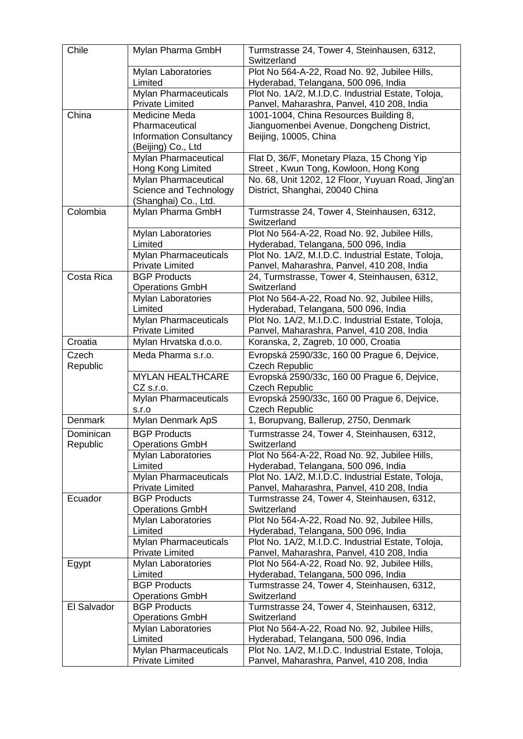| Chile                 | Mylan Pharma GmbH                                                                       | Turmstrasse 24, Tower 4, Steinhausen, 6312,<br>Switzerland                                                   |
|-----------------------|-----------------------------------------------------------------------------------------|--------------------------------------------------------------------------------------------------------------|
|                       | Mylan Laboratories<br>Limited                                                           | Plot No 564-A-22, Road No. 92, Jubilee Hills,<br>Hyderabad, Telangana, 500 096, India                        |
|                       | <b>Mylan Pharmaceuticals</b><br><b>Private Limited</b>                                  | Plot No. 1A/2, M.I.D.C. Industrial Estate, Toloja,<br>Panvel, Maharashra, Panvel, 410 208, India             |
| China                 | Medicine Meda<br>Pharmaceutical<br><b>Information Consultancy</b><br>(Beijing) Co., Ltd | 1001-1004, China Resources Building 8,<br>Jianguomenbei Avenue, Dongcheng District,<br>Beijing, 10005, China |
|                       | Mylan Pharmaceutical<br>Hong Kong Limited                                               | Flat D, 36/F, Monetary Plaza, 15 Chong Yip<br>Street, Kwun Tong, Kowloon, Hong Kong                          |
|                       | Mylan Pharmaceutical<br>Science and Technology<br>(Shanghai) Co., Ltd.                  | No. 68, Unit 1202, 12 Floor, Yuyuan Road, Jing'an<br>District, Shanghai, 20040 China                         |
| Colombia              | Mylan Pharma GmbH                                                                       | Turmstrasse 24, Tower 4, Steinhausen, 6312,<br>Switzerland                                                   |
|                       | Mylan Laboratories<br>Limited                                                           | Plot No 564-A-22, Road No. 92, Jubilee Hills,<br>Hyderabad, Telangana, 500 096, India                        |
|                       | Mylan Pharmaceuticals<br><b>Private Limited</b>                                         | Plot No. 1A/2, M.I.D.C. Industrial Estate, Toloja,<br>Panvel, Maharashra, Panvel, 410 208, India             |
| Costa Rica            | <b>BGP Products</b><br><b>Operations GmbH</b>                                           | 24, Turmstrasse, Tower 4, Steinhausen, 6312,<br>Switzerland                                                  |
|                       | <b>Mylan Laboratories</b><br>Limited                                                    | Plot No 564-A-22, Road No. 92, Jubilee Hills,<br>Hyderabad, Telangana, 500 096, India                        |
|                       | Mylan Pharmaceuticals<br><b>Private Limited</b>                                         | Plot No. 1A/2, M.I.D.C. Industrial Estate, Toloja,<br>Panvel, Maharashra, Panvel, 410 208, India             |
| Croatia               | Mylan Hrvatska d.o.o.                                                                   | Koranska, 2, Zagreb, 10 000, Croatia                                                                         |
| Czech<br>Republic     | Meda Pharma s.r.o.                                                                      | Evropská 2590/33c, 160 00 Prague 6, Dejvice,<br><b>Czech Republic</b>                                        |
|                       | <b>MYLAN HEALTHCARE</b><br>CZ s.r.o.                                                    | Evropská 2590/33c, 160 00 Prague 6, Dejvice,<br><b>Czech Republic</b>                                        |
|                       | <b>Mylan Pharmaceuticals</b><br>S.I.O                                                   | Evropská 2590/33c, 160 00 Prague 6, Dejvice,<br><b>Czech Republic</b>                                        |
| Denmark               | Mylan Denmark ApS                                                                       | 1, Borupvang, Ballerup, 2750, Denmark                                                                        |
| Dominican<br>Republic | <b>BGP Products</b><br><b>Operations GmbH</b>                                           | Turmstrasse 24, Tower 4, Steinhausen, 6312,<br>Switzerland                                                   |
|                       | <b>Mylan Laboratories</b><br>Limited                                                    | Plot No 564-A-22, Road No. 92, Jubilee Hills,<br>Hyderabad, Telangana, 500 096, India                        |
|                       | Mylan Pharmaceuticals<br><b>Private Limited</b>                                         | Plot No. 1A/2, M.I.D.C. Industrial Estate, Toloja,<br>Panvel, Maharashra, Panvel, 410 208, India             |
| Ecuador               | <b>BGP Products</b><br><b>Operations GmbH</b>                                           | Turmstrasse 24, Tower 4, Steinhausen, 6312,<br>Switzerland                                                   |
|                       | Mylan Laboratories<br>Limited                                                           | Plot No 564-A-22, Road No. 92, Jubilee Hills,<br>Hyderabad, Telangana, 500 096, India                        |
|                       | Mylan Pharmaceuticals<br><b>Private Limited</b>                                         | Plot No. 1A/2, M.I.D.C. Industrial Estate, Toloja,<br>Panvel, Maharashra, Panvel, 410 208, India             |
| Egypt                 | Mylan Laboratories<br>Limited                                                           | Plot No 564-A-22, Road No. 92, Jubilee Hills,<br>Hyderabad, Telangana, 500 096, India                        |
|                       | <b>BGP Products</b><br><b>Operations GmbH</b>                                           | Turmstrasse 24, Tower 4, Steinhausen, 6312,<br>Switzerland                                                   |
| El Salvador           | <b>BGP Products</b><br><b>Operations GmbH</b>                                           | Turmstrasse 24, Tower 4, Steinhausen, 6312,<br>Switzerland                                                   |
|                       | Mylan Laboratories<br>Limited                                                           | Plot No 564-A-22, Road No. 92, Jubilee Hills,<br>Hyderabad, Telangana, 500 096, India                        |
|                       | <b>Mylan Pharmaceuticals</b><br><b>Private Limited</b>                                  | Plot No. 1A/2, M.I.D.C. Industrial Estate, Toloja,<br>Panvel, Maharashra, Panvel, 410 208, India             |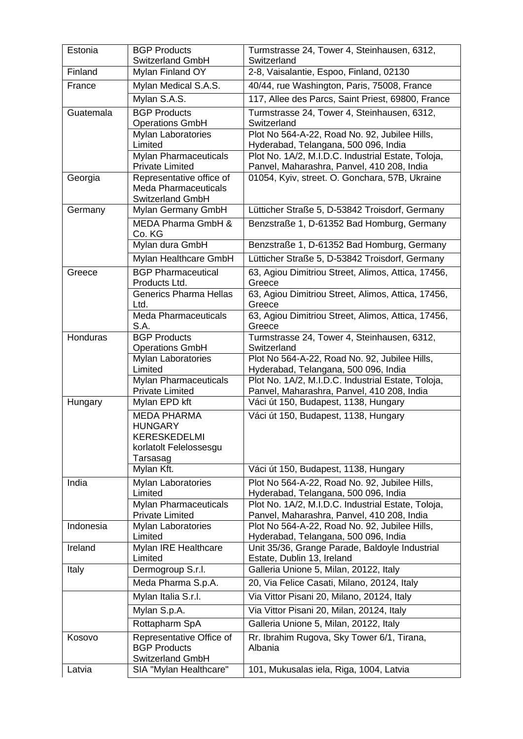| Estonia   | <b>BGP Products</b><br>Switzerland GmbH                                            | Turmstrasse 24, Tower 4, Steinhausen, 6312,<br>Switzerland                                       |
|-----------|------------------------------------------------------------------------------------|--------------------------------------------------------------------------------------------------|
| Finland   | Mylan Finland OY                                                                   | 2-8, Vaisalantie, Espoo, Finland, 02130                                                          |
| France    | Mylan Medical S.A.S.                                                               | 40/44, rue Washington, Paris, 75008, France                                                      |
|           | Mylan S.A.S.                                                                       | 117, Allee des Parcs, Saint Priest, 69800, France                                                |
| Guatemala | <b>BGP Products</b>                                                                | Turmstrasse 24, Tower 4, Steinhausen, 6312,                                                      |
|           | <b>Operations GmbH</b>                                                             | Switzerland                                                                                      |
|           | Mylan Laboratories                                                                 | Plot No 564-A-22, Road No. 92, Jubilee Hills,                                                    |
|           | Limited                                                                            | Hyderabad, Telangana, 500 096, India                                                             |
|           | <b>Mylan Pharmaceuticals</b><br><b>Private Limited</b>                             | Plot No. 1A/2, M.I.D.C. Industrial Estate, Toloja,<br>Panvel, Maharashra, Panvel, 410 208, India |
| Georgia   | Representative office of<br><b>Meda Pharmaceuticals</b><br><b>Switzerland GmbH</b> | 01054, Kyiv, street. O. Gonchara, 57B, Ukraine                                                   |
| Germany   | Mylan Germany GmbH                                                                 | Lütticher Straße 5, D-53842 Troisdorf, Germany                                                   |
|           | MEDA Pharma GmbH &<br>Co. KG                                                       | Benzstraße 1, D-61352 Bad Homburg, Germany                                                       |
|           | Mylan dura GmbH                                                                    | Benzstraße 1, D-61352 Bad Homburg, Germany                                                       |
|           | Mylan Healthcare GmbH                                                              | Lütticher Straße 5, D-53842 Troisdorf, Germany                                                   |
| Greece    | <b>BGP Pharmaceutical</b><br>Products Ltd.                                         | 63, Agiou Dimitriou Street, Alimos, Attica, 17456,<br>Greece                                     |
|           | <b>Generics Pharma Hellas</b><br>Ltd.                                              | 63, Agiou Dimitriou Street, Alimos, Attica, 17456,<br>Greece                                     |
|           | <b>Meda Pharmaceuticals</b><br>S.A.                                                | 63, Agiou Dimitriou Street, Alimos, Attica, 17456,<br>Greece                                     |
| Honduras  | <b>BGP Products</b>                                                                | Turmstrasse 24, Tower 4, Steinhausen, 6312,                                                      |
|           | <b>Operations GmbH</b>                                                             | Switzerland                                                                                      |
|           | Mylan Laboratories<br>Limited                                                      | Plot No 564-A-22, Road No. 92, Jubilee Hills,<br>Hyderabad, Telangana, 500 096, India            |
|           | <b>Mylan Pharmaceuticals</b>                                                       | Plot No. 1A/2, M.I.D.C. Industrial Estate, Toloja,                                               |
|           | <b>Private Limited</b>                                                             | Panvel, Maharashra, Panvel, 410 208, India                                                       |
| Hungary   | Mylan EPD kft                                                                      | Váci út 150, Budapest, 1138, Hungary                                                             |
|           | <b>MEDA PHARMA</b>                                                                 | Váci út 150, Budapest, 1138, Hungary                                                             |
|           | <b>HUNGARY</b><br><b>KERESKEDELMI</b>                                              |                                                                                                  |
|           | korlatolt Felelossesgu                                                             |                                                                                                  |
|           | Tarsasag                                                                           |                                                                                                  |
|           | Mylan Kft.                                                                         | Váci út 150, Budapest, 1138, Hungary                                                             |
| India     | Mylan Laboratories                                                                 | Plot No 564-A-22, Road No. 92, Jubilee Hills,                                                    |
|           | Limited<br><b>Mylan Pharmaceuticals</b>                                            | Hyderabad, Telangana, 500 096, India<br>Plot No. 1A/2, M.I.D.C. Industrial Estate, Toloja,       |
|           | <b>Private Limited</b>                                                             | Panvel, Maharashra, Panvel, 410 208, India                                                       |
| Indonesia | <b>Mylan Laboratories</b>                                                          | Plot No 564-A-22, Road No. 92, Jubilee Hills,                                                    |
| Ireland   | Limited                                                                            | Hyderabad, Telangana, 500 096, India                                                             |
|           | Mylan IRE Healthcare<br>Limited                                                    | Unit 35/36, Grange Parade, Baldoyle Industrial<br>Estate, Dublin 13, Ireland                     |
| Italy     | Dermogroup S.r.l.                                                                  | Galleria Unione 5, Milan, 20122, Italy                                                           |
|           | Meda Pharma S.p.A.                                                                 | 20, Via Felice Casati, Milano, 20124, Italy                                                      |
|           | Mylan Italia S.r.l.                                                                | Via Vittor Pisani 20, Milano, 20124, Italy                                                       |
|           | Mylan S.p.A.                                                                       | Via Vittor Pisani 20, Milan, 20124, Italy                                                        |
|           | Rottapharm SpA                                                                     | Galleria Unione 5, Milan, 20122, Italy                                                           |
| Kosovo    | Representative Office of                                                           | Rr. Ibrahim Rugova, Sky Tower 6/1, Tirana,                                                       |
|           | <b>BGP Products</b>                                                                | Albania                                                                                          |
|           | Switzerland GmbH                                                                   |                                                                                                  |
| Latvia    | SIA "Mylan Healthcare"                                                             | 101, Mukusalas iela, Riga, 1004, Latvia                                                          |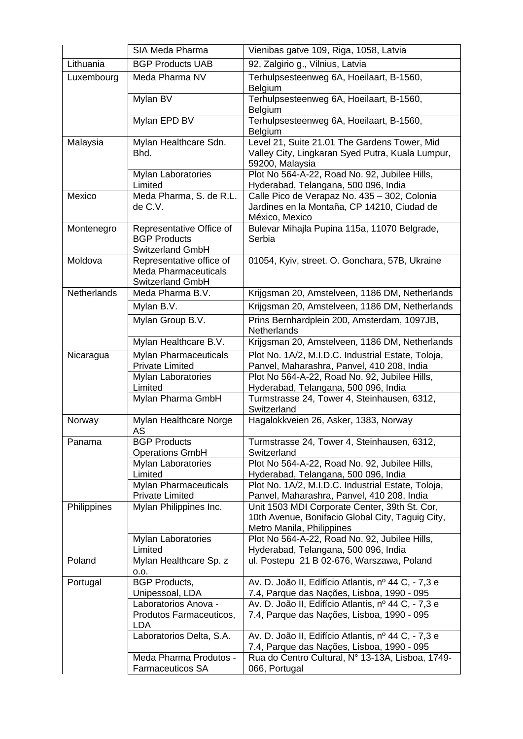|                    | SIA Meda Pharma                                                                                          | Vienibas gatve 109, Riga, 1058, Latvia                                                                                                                                                                 |
|--------------------|----------------------------------------------------------------------------------------------------------|--------------------------------------------------------------------------------------------------------------------------------------------------------------------------------------------------------|
| Lithuania          | <b>BGP Products UAB</b>                                                                                  | 92, Zalgirio g., Vilnius, Latvia                                                                                                                                                                       |
| Luxembourg         | Meda Pharma NV                                                                                           | Terhulpsesteenweg 6A, Hoeilaart, B-1560,<br>Belgium                                                                                                                                                    |
|                    | Mylan BV                                                                                                 | Terhulpsesteenweg 6A, Hoeilaart, B-1560,<br><b>Belgium</b>                                                                                                                                             |
|                    | Mylan EPD BV                                                                                             | Terhulpsesteenweg 6A, Hoeilaart, B-1560,<br><b>Belgium</b>                                                                                                                                             |
| Malaysia           | Mylan Healthcare Sdn.<br>Bhd.                                                                            | Level 21, Suite 21.01 The Gardens Tower, Mid<br>Valley City, Lingkaran Syed Putra, Kuala Lumpur,<br>59200, Malaysia                                                                                    |
|                    | <b>Mylan Laboratories</b><br>Limited                                                                     | Plot No 564-A-22, Road No. 92, Jubilee Hills,<br>Hyderabad, Telangana, 500 096, India                                                                                                                  |
| Mexico             | Meda Pharma, S. de R.L.<br>de C.V.                                                                       | Calle Pico de Verapaz No. 435 - 302, Colonia<br>Jardines en la Montaña, CP 14210, Ciudad de<br>México, Mexico                                                                                          |
| Montenegro         | Representative Office of<br><b>BGP Products</b><br><b>Switzerland GmbH</b>                               | Bulevar Mihajla Pupina 115a, 11070 Belgrade,<br>Serbia                                                                                                                                                 |
| Moldova            | Representative office of<br><b>Meda Pharmaceuticals</b><br><b>Switzerland GmbH</b>                       | 01054, Kyiv, street. O. Gonchara, 57B, Ukraine                                                                                                                                                         |
| <b>Netherlands</b> | Meda Pharma B.V.                                                                                         | Krijgsman 20, Amstelveen, 1186 DM, Netherlands                                                                                                                                                         |
|                    | Mylan B.V.                                                                                               | Krijgsman 20, Amstelveen, 1186 DM, Netherlands                                                                                                                                                         |
|                    | Mylan Group B.V.                                                                                         | Prins Bernhardplein 200, Amsterdam, 1097JB,<br>Netherlands                                                                                                                                             |
|                    | Mylan Healthcare B.V.                                                                                    | Krijgsman 20, Amstelveen, 1186 DM, Netherlands                                                                                                                                                         |
| Nicaragua          | <b>Mylan Pharmaceuticals</b><br><b>Private Limited</b>                                                   | Plot No. 1A/2, M.I.D.C. Industrial Estate, Toloja,<br>Panvel, Maharashra, Panvel, 410 208, India                                                                                                       |
|                    | Mylan Laboratories<br>Limited                                                                            | Plot No 564-A-22, Road No. 92, Jubilee Hills,<br>Hyderabad, Telangana, 500 096, India                                                                                                                  |
|                    | Mylan Pharma GmbH                                                                                        | Turmstrasse 24, Tower 4, Steinhausen, 6312,<br>Switzerland                                                                                                                                             |
| Norway             | Mylan Healthcare Norge<br>AS                                                                             | Hagalokkveien 26, Asker, 1383, Norway                                                                                                                                                                  |
| Panama             | <b>BGP Products</b><br><b>Operations GmbH</b>                                                            | Turmstrasse 24, Tower 4, Steinhausen, 6312,<br>Switzerland                                                                                                                                             |
|                    | <b>Mylan Laboratories</b><br>Limited                                                                     | Plot No 564-A-22, Road No. 92, Jubilee Hills,<br>Hyderabad, Telangana, 500 096, India                                                                                                                  |
|                    | Mylan Pharmaceuticals<br><b>Private Limited</b>                                                          | Plot No. 1A/2, M.I.D.C. Industrial Estate, Toloja,<br>Panvel, Maharashra, Panvel, 410 208, India                                                                                                       |
| Philippines        | Mylan Philippines Inc.                                                                                   | Unit 1503 MDI Corporate Center, 39th St. Cor,<br>10th Avenue, Bonifacio Global City, Taguig City,<br>Metro Manila, Philippines                                                                         |
|                    | <b>Mylan Laboratories</b><br>Limited                                                                     | Plot No 564-A-22, Road No. 92, Jubilee Hills,<br>Hyderabad, Telangana, 500 096, India                                                                                                                  |
| Poland             | Mylan Healthcare Sp. z<br>0.0.                                                                           | ul. Postepu 21 B 02-676, Warszawa, Poland                                                                                                                                                              |
| Portugal           | <b>BGP Products,</b><br>Unipessoal, LDA<br>Laboratorios Anova -<br>Produtos Farmaceuticos,<br><b>LDA</b> | Av. D. João II, Edifício Atlantis, nº 44 C, - 7,3 e<br>7.4, Parque das Nações, Lisboa, 1990 - 095<br>Av. D. João II, Edifício Atlantis, nº 44 C, - 7,3 e<br>7.4, Parque das Nações, Lisboa, 1990 - 095 |
|                    | Laboratorios Delta, S.A.                                                                                 | Av. D. João II, Edifício Atlantis, nº 44 C, - 7,3 e<br>7.4, Parque das Nações, Lisboa, 1990 - 095                                                                                                      |
|                    | Meda Pharma Produtos -<br><b>Farmaceuticos SA</b>                                                        | Rua do Centro Cultural, Nº 13-13A, Lisboa, 1749-<br>066, Portugal                                                                                                                                      |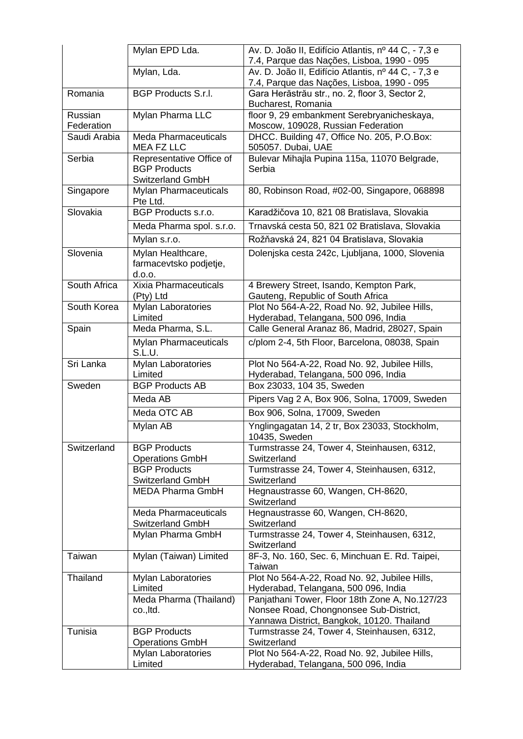|                       | Mylan EPD Lda.                                                      | Av. D. João II, Edifício Atlantis, nº 44 C, - 7,3 e                                               |
|-----------------------|---------------------------------------------------------------------|---------------------------------------------------------------------------------------------------|
|                       |                                                                     | 7.4, Parque das Nações, Lisboa, 1990 - 095                                                        |
|                       | Mylan, Lda.                                                         | Av. D. João II, Edifício Atlantis, nº 44 C, - 7,3 e<br>7.4, Parque das Nações, Lisboa, 1990 - 095 |
| Romania               | <b>BGP Products S.r.I.</b>                                          | Gara Herăstrău str., no. 2, floor 3, Sector 2,<br>Bucharest, Romania                              |
| Russian<br>Federation | Mylan Pharma LLC                                                    | floor 9, 29 embankment Serebryanicheskaya,<br>Moscow, 109028, Russian Federation                  |
| Saudi Arabia          | <b>Meda Pharmaceuticals</b><br><b>MEA FZ LLC</b>                    | DHCC. Building 47, Office No. 205, P.O.Box:<br>505057. Dubai, UAE                                 |
| Serbia                | Representative Office of<br><b>BGP Products</b><br>Switzerland GmbH | Bulevar Mihajla Pupina 115a, 11070 Belgrade,<br>Serbia                                            |
| Singapore             | Mylan Pharmaceuticals<br>Pte Ltd.                                   | 80, Robinson Road, #02-00, Singapore, 068898                                                      |
| Slovakia              | BGP Products s.r.o.                                                 | Karadžičova 10, 821 08 Bratislava, Slovakia                                                       |
|                       | Meda Pharma spol. s.r.o.                                            | Trnavská cesta 50, 821 02 Bratislava, Slovakia                                                    |
|                       | Mylan s.r.o.                                                        | Rožňavská 24, 821 04 Bratislava, Slovakia                                                         |
| Slovenia              | Mylan Healthcare,<br>farmacevtsko podjetje,<br>d.o.o.               | Dolenjska cesta 242c, Ljubljana, 1000, Slovenia                                                   |
| South Africa          | Xixia Pharmaceuticals<br>(Pty) Ltd                                  | 4 Brewery Street, Isando, Kempton Park,<br>Gauteng, Republic of South Africa                      |
| South Korea           | Mylan Laboratories<br>Limited                                       | Plot No 564-A-22, Road No. 92, Jubilee Hills,<br>Hyderabad, Telangana, 500 096, India             |
| Spain                 | Meda Pharma, S.L.                                                   | Calle General Aranaz 86, Madrid, 28027, Spain                                                     |
|                       | Mylan Pharmaceuticals<br>S.L.U.                                     | c/plom 2-4, 5th Floor, Barcelona, 08038, Spain                                                    |
| Sri Lanka             | Mylan Laboratories<br>Limited                                       | Plot No 564-A-22, Road No. 92, Jubilee Hills,<br>Hyderabad, Telangana, 500 096, India             |
| Sweden                | <b>BGP Products AB</b>                                              | Box 23033, 104 35, Sweden                                                                         |
|                       | Meda AB                                                             | Pipers Vag 2 A, Box 906, Solna, 17009, Sweden                                                     |
|                       | Meda OTC AB                                                         | Box 906, Solna, 17009, Sweden                                                                     |
|                       | Mylan AB                                                            | Ynglingagatan 14, 2 tr, Box 23033, Stockholm,<br>10435, Sweden                                    |
| Switzerland           | <b>BGP Products</b><br><b>Operations GmbH</b>                       | Turmstrasse 24, Tower 4, Steinhausen, 6312,<br>Switzerland                                        |
|                       | <b>BGP Products</b><br>Switzerland GmbH                             | Turmstrasse 24, Tower 4, Steinhausen, 6312,<br>Switzerland                                        |
|                       | <b>MEDA Pharma GmbH</b>                                             | Hegnaustrasse 60, Wangen, CH-8620,<br>Switzerland                                                 |
|                       | <b>Meda Pharmaceuticals</b><br><b>Switzerland GmbH</b>              | Hegnaustrasse 60, Wangen, CH-8620,<br>Switzerland                                                 |
|                       | Mylan Pharma GmbH                                                   | Turmstrasse 24, Tower 4, Steinhausen, 6312,                                                       |
|                       |                                                                     |                                                                                                   |
| Taiwan                | Mylan (Taiwan) Limited                                              | Switzerland<br>8F-3, No. 160, Sec. 6, Minchuan E. Rd. Taipei,<br>Taiwan                           |
| Thailand              | Mylan Laboratories                                                  | Plot No 564-A-22, Road No. 92, Jubilee Hills,                                                     |
|                       | Limited                                                             | Hyderabad, Telangana, 500 096, India                                                              |
|                       | Meda Pharma (Thailand)<br>co., Itd.                                 | Panjathani Tower, Floor 18th Zone A, No.127/23<br>Nonsee Road, Chongnonsee Sub-District,          |
|                       |                                                                     | Yannawa District, Bangkok, 10120. Thailand                                                        |
| Tunisia               | <b>BGP Products</b><br><b>Operations GmbH</b>                       | Turmstrasse 24, Tower 4, Steinhausen, 6312,<br>Switzerland                                        |
|                       | Mylan Laboratories<br>Limited                                       | Plot No 564-A-22, Road No. 92, Jubilee Hills,<br>Hyderabad, Telangana, 500 096, India             |